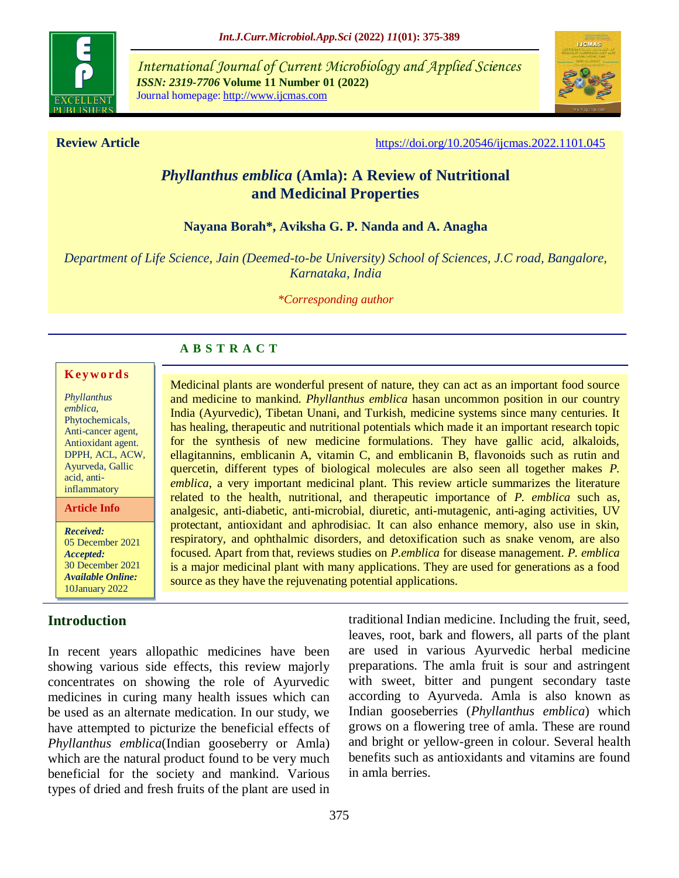

*International Journal of Current Microbiology and Applied Sciences ISSN: 2319-7706* **Volume 11 Number 01 (2022)**  Journal homepage: http://www.ijcmas.com



**Review Article <https://doi.org/10.20546/ijcmas.2022.1101.045>** 

# *Phyllanthus emblica* **(Amla): A Review of Nutritional and Medicinal Properties**

## **Nayana Borah\*, Aviksha G. P. Nanda and A. Anagha**

*Department of Life Science, Jain (Deemed-to-be University) School of Sciences, J.C road, Bangalore, Karnataka, India*

*\*Corresponding author*

## **A B S T R A C T**

#### **K ey w o rd s**

*Phyllanthus emblica*, Phytochemicals, Anti-cancer agent, Antioxidant agent. DPPH, ACL, ACW, Ayurveda, Gallic acid, antiinflammatory

**Article Info**

*Received:*  05 December 2021 *Accepted:*  30 December 2021 *Available Online:* 10January 2022

## **Introduction**

In recent years allopathic medicines have been showing various side effects, this review majorly concentrates on showing the role of Ayurvedic medicines in curing many health issues which can be used as an alternate medication. In our study, we have attempted to picturize the beneficial effects of *Phyllanthus emblica*(Indian gooseberry or Amla) which are the natural product found to be very much beneficial for the society and mankind. Various types of dried and fresh fruits of the plant are used in

Medicinal plants are wonderful present of nature, they can act as an important food source and medicine to mankind. *Phyllanthus emblica* hasan uncommon position in our country India (Ayurvedic), Tibetan Unani, and Turkish, medicine systems since many centuries. It has healing, therapeutic and nutritional potentials which made it an important research topic for the synthesis of new medicine formulations. They have gallic acid, alkaloids, ellagitannins, emblicanin A, vitamin C, and emblicanin B, flavonoids such as rutin and quercetin, different types of biological molecules are also seen all together makes *P. emblica*, a very important medicinal plant. This review article summarizes the literature related to the health, nutritional, and therapeutic importance of *P. emblica* such as, analgesic, anti-diabetic, anti-microbial, diuretic, anti-mutagenic, anti-aging activities, UV protectant, antioxidant and aphrodisiac. It can also enhance memory, also use in skin, respiratory, and ophthalmic disorders, and detoxification such as snake venom, are also focused. Apart from that, reviews studies on *P*.*emblica* for disease management. *P. emblica* is a major medicinal plant with many applications. They are used for generations as a food source as they have the rejuvenating potential applications.

> traditional Indian medicine. Including the fruit, seed, leaves, root, bark and flowers, all parts of the plant are used in various Ayurvedic herbal medicine preparations. The amla fruit is sour and astringent with sweet, bitter and pungent secondary taste according to Ayurveda. Amla is also known as Indian gooseberries (*Phyllanthus emblica*) which grows on a flowering tree of amla. These are round and bright or yellow-green in colour. Several health benefits such as antioxidants and vitamins are found in amla berries.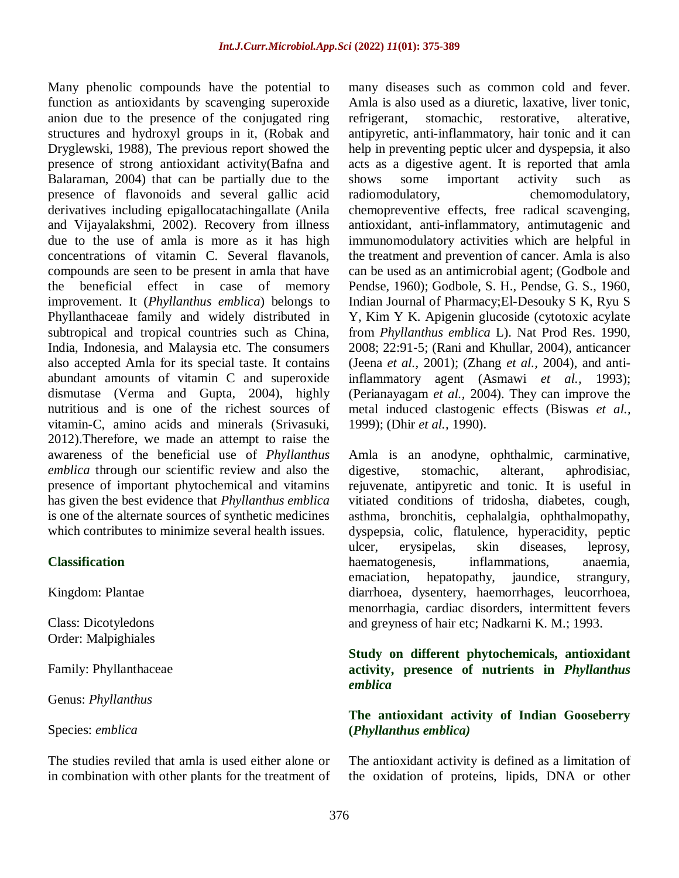Many phenolic compounds have the potential to function as antioxidants by scavenging superoxide anion due to the presence of the conjugated ring structures and hydroxyl groups in it, (Robak and Dryglewski, 1988), The previous report showed the presence of strong antioxidant activity(Bafna and Balaraman, 2004) that can be partially due to the presence of flavonoids and several gallic acid derivatives including epigallocatachingallate (Anila and Vijayalakshmi, 2002). Recovery from illness due to the use of amla is more as it has high concentrations of vitamin C. Several flavanols, compounds are seen to be present in amla that have the beneficial effect in case of memory improvement. It (*Phyllanthus emblica*) belongs to Phyllanthaceae family and widely distributed in subtropical and tropical countries such as China, India, Indonesia, and Malaysia etc. The consumers also accepted Amla for its special taste. It contains abundant amounts of vitamin C and superoxide dismutase (Verma and Gupta, 2004), highly nutritious and is one of the richest sources of vitamin-C, amino acids and minerals (Srivasuki, 2012).Therefore, we made an attempt to raise the awareness of the beneficial use of *Phyllanthus emblica* through our scientific review and also the presence of important phytochemical and vitamins has given the best evidence that *Phyllanthus emblica* is one of the alternate sources of synthetic medicines which contributes to minimize several health issues.

#### **Classification**

Kingdom: Plantae

Class: Dicotyledons Order: Malpighiales

Family: Phyllanthaceae

Genus: *Phyllanthus*

Species: *emblica*

The studies reviled that amla is used either alone or in combination with other plants for the treatment of many diseases such as common cold and fever. Amla is also used as a diuretic, laxative, liver tonic, refrigerant, stomachic, restorative, alterative, antipyretic, anti-inflammatory, hair tonic and it can help in preventing peptic ulcer and dyspepsia, it also acts as a digestive agent. It is reported that amla shows some important activity such as radiomodulatory, chemomodulatory, chemopreventive effects, free radical scavenging, antioxidant, anti-inflammatory, antimutagenic and immunomodulatory activities which are helpful in the treatment and prevention of cancer. Amla is also can be used as an antimicrobial agent; (Godbole and Pendse, 1960); Godbole, S. H., Pendse, G. S., 1960, Indian Journal of Pharmacy;El-Desouky S K, Ryu S Y, Kim Y K. Apigenin glucoside (cytotoxic acylate from *Phyllanthus emblica* L). Nat Prod Res. 1990, 2008; 22:91‐5; (Rani and Khullar, 2004), anticancer (Jeena *et al.,* 2001); (Zhang *et al.,* 2004), and antiinflammatory agent (Asmawi *et al.,* 1993); (Perianayagam *et al.,* 2004). They can improve the metal induced clastogenic effects (Biswas *et al.,* 1999); (Dhir *et al.,* 1990).

Amla is an anodyne, ophthalmic, carminative, digestive, stomachic, alterant, aphrodisiac, rejuvenate, antipyretic and tonic. It is useful in vitiated conditions of tridosha, diabetes, cough, asthma, bronchitis, cephalalgia, ophthalmopathy, dyspepsia, colic, flatulence, hyperacidity, peptic ulcer, erysipelas, skin diseases, leprosy, haematogenesis, inflammations, anaemia, emaciation, hepatopathy, jaundice, strangury, diarrhoea, dysentery, haemorrhages, leucorrhoea, menorrhagia, cardiac disorders, intermittent fevers and greyness of hair etc; Nadkarni K. M.; 1993.

## **Study on different phytochemicals, antioxidant activity, presence of nutrients in** *Phyllanthus emblica*

## **The antioxidant activity of Indian Gooseberry (***Phyllanthus emblica)*

The antioxidant activity is defined as a limitation of the oxidation of proteins, lipids, DNA or other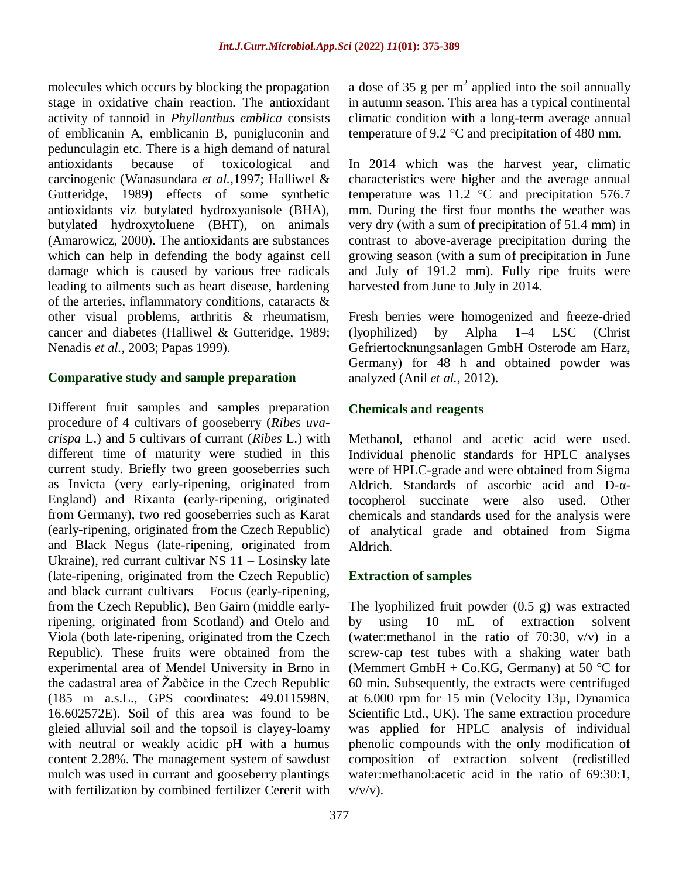molecules which occurs by blocking the propagation stage in oxidative chain reaction. The antioxidant activity of tannoid in *Phyllanthus emblica* consists of emblicanin A, emblicanin B, punigluconin and pedunculagin etc. There is a high demand of natural antioxidants because of toxicological and carcinogenic (Wanasundara *et al.,*1997; Halliwel & Gutteridge, 1989) effects of some synthetic antioxidants viz butylated hydroxyanisole (BHA), butylated hydroxytoluene (BHT), on animals (Amarowicz, 2000). The antioxidants are substances which can help in defending the body against cell damage which is caused by various free radicals leading to ailments such as heart disease, hardening of the arteries, inflammatory conditions, cataracts & other visual problems, arthritis & rheumatism, cancer and diabetes (Halliwel & Gutteridge, 1989; Nenadis *et al.,* 2003; Papas 1999).

## **Comparative study and sample preparation**

Different fruit samples and samples preparation procedure of 4 cultivars of gooseberry (*Ribes uvacrispa* L.) and 5 cultivars of currant (*Ribes* L.) with different time of maturity were studied in this current study. Briefly two green gooseberries such as Invicta (very early-ripening, originated from England) and Rixanta (early-ripening, originated from Germany), two red gooseberries such as Karat (early-ripening, originated from the Czech Republic) and Black Negus (late-ripening, originated from Ukraine), red currant cultivar NS 11 – Losinsky late (late-ripening, originated from the Czech Republic) and black currant cultivars – Focus (early-ripening, from the Czech Republic), Ben Gairn (middle earlyripening, originated from Scotland) and Otelo and Viola (both late-ripening, originated from the Czech Republic). These fruits were obtained from the experimental area of Mendel University in Brno in the cadastral area of Žabčice in the Czech Republic (185 m a.s.L., GPS coordinates: 49.011598N, 16.602572E). Soil of this area was found to be gleied alluvial soil and the topsoil is clayey-loamy with neutral or weakly acidic pH with a humus content 2.28%. The management system of sawdust mulch was used in currant and gooseberry plantings with fertilization by combined fertilizer Cererit with

a dose of 35 g per  $m^2$  applied into the soil annually in autumn season. This area has a typical continental climatic condition with a long-term average annual temperature of 9.2 °C and precipitation of 480 mm.

In 2014 which was the harvest year, climatic characteristics were higher and the average annual temperature was 11.2 °C and precipitation 576.7 mm. During the first four months the weather was very dry (with a sum of precipitation of 51.4 mm) in contrast to above-average precipitation during the growing season (with a sum of precipitation in June and July of 191.2 mm). Fully ripe fruits were harvested from June to July in 2014.

Fresh berries were homogenized and freeze-dried (lyophilized) by Alpha 1–4 LSC (Christ Gefriertocknungsanlagen GmbH Osterode am Harz, Germany) for 48 h and obtained powder was analyzed (Anil *et al.,* 2012).

## **Chemicals and reagents**

Methanol, ethanol and acetic acid were used. Individual phenolic standards for HPLC analyses were of HPLC-grade and were obtained from Sigma Aldrich. Standards of ascorbic acid and D-αtocopherol succinate were also used. Other chemicals and standards used for the analysis were of analytical grade and obtained from Sigma Aldrich.

## **Extraction of samples**

The lyophilized fruit powder (0.5 g) was extracted by using 10 mL of extraction solvent (water:methanol in the ratio of 70:30, v/v) in a screw-cap test tubes with a shaking water bath (Memmert GmbH + Co.KG, Germany) at 50  $^{\circ}$ C for 60 min. Subsequently, the extracts were centrifuged at 6.000 rpm for 15 min (Velocity 13µ, Dynamica Scientific Ltd., UK). The same extraction procedure was applied for HPLC analysis of individual phenolic compounds with the only modification of composition of extraction solvent (redistilled water:methanol:acetic acid in the ratio of 69:30:1,  $v/v/v$ ).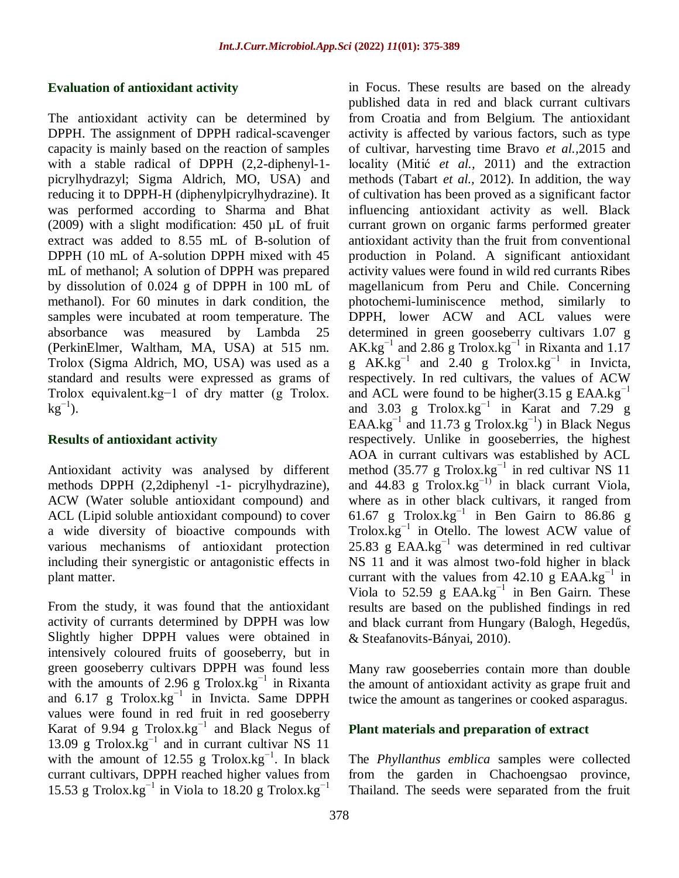#### **Evaluation of antioxidant activity**

The antioxidant activity can be determined by DPPH. The assignment of DPPH radical-scavenger capacity is mainly based on the reaction of samples with a stable radical of DPPH (2,2-diphenyl-1 picrylhydrazyl; Sigma Aldrich, MO, USA) and reducing it to DPPH-H (diphenylpicrylhydrazine). It was performed according to Sharma and Bhat (2009) with a slight modification: 450 µL of fruit extract was added to 8.55 mL of B-solution of DPPH (10 mL of A-solution DPPH mixed with 45 mL of methanol; A solution of DPPH was prepared by dissolution of 0.024 g of DPPH in 100 mL of methanol). For 60 minutes in dark condition, the samples were incubated at room temperature. The absorbance was measured by Lambda 25 (PerkinElmer, Waltham, MA, USA) at 515 nm. Trolox (Sigma Aldrich, MO, USA) was used as a standard and results were expressed as grams of Trolox equivalent.kg−1 of dry matter (g Trolox.  $kg^{-1}$ ).

#### **Results of antioxidant activity**

Antioxidant activity was analysed by different methods DPPH (2,2diphenyl -1- picrylhydrazine), ACW (Water soluble antioxidant compound) and ACL (Lipid soluble antioxidant compound) to cover a wide diversity of bioactive compounds with various mechanisms of antioxidant protection including their synergistic or antagonistic effects in plant matter.

From the study, it was found that the antioxidant activity of currants determined by DPPH was low Slightly higher DPPH values were obtained in intensively coloured fruits of gooseberry, but in green gooseberry cultivars DPPH was found less with the amounts of 2.96 g Trolox.kg<sup>-1</sup> in Rixanta and  $6.17 \text{ g}$  Trolox.kg<sup>-1</sup> in Invicta. Same DPPH values were found in red fruit in red gooseberry Karat of 9.94 g Trolox.kg−1 and Black Negus of 13.09 g Trolox.kg<sup>-1</sup> and in currant cultivar NS 11 with the amount of 12.55 g Trolox.kg<sup>-1</sup>. In black currant cultivars, DPPH reached higher values from 15.53 g Trolox.kg<sup>-1</sup> in Viola to 18.20 g Trolox.kg<sup>-1</sup>

in Focus. These results are based on the already published data in red and black currant cultivars from Croatia and from Belgium. The antioxidant activity is affected by various factors, such as type of cultivar, harvesting time Bravo *et al.,*2015 and locality (Mitić *et al.,* 2011) and the extraction methods (Tabart *et al.,* 2012). In addition, the way of cultivation has been proved as a significant factor influencing antioxidant activity as well. Black currant grown on organic farms performed greater antioxidant activity than the fruit from conventional production in Poland. A significant antioxidant activity values were found in wild red currants Ribes magellanicum from Peru and Chile. Concerning photochemi-luminiscence method, similarly to DPPH, lower ACW and ACL values were determined in green gooseberry cultivars 1.07 g  $AK.kg^{-1}$  and 2.86 g Trolox.kg<sup>-1</sup> in Rixanta and 1.17 g  $AK.kg^{-1}$  and 2.40 g Trolox.kg<sup>-1</sup> in Invicta, respectively. In red cultivars, the values of ACW and ACL were found to be higher $(3.15 \text{ g } EAA.kg^{-1})$ and 3.03 g Trolox.kg<sup>-1</sup> in Karat and 7.29 g EAA.kg<sup>-1</sup> and 11.73 g Trolox.kg<sup>-1</sup>) in Black Negus respectively. Unlike in gooseberries, the highest AOA in currant cultivars was established by ACL method (35.77 g Trolox.kg<sup>-1</sup> in red cultivar NS 11 and 44.83 g Trolox.kg<sup>-1)</sup> in black currant Viola, where as in other black cultivars, it ranged from 61.67 g Trolox.kg−1 in Ben Gairn to 86.86 g Trolox.kg−1 in Otello. The lowest ACW value of 25.83 g  $EAA.kg^{-1}$  was determined in red cultivar NS 11 and it was almost two-fold higher in black currant with the values from 42.10 g EAA.kg<sup>-1</sup> in Viola to 52.59 g EAA.kg<sup>-1</sup> in Ben Gairn. These results are based on the published findings in red and black currant from Hungary (Balogh, Hegedűs, & Steafanovits-Bányai, 2010).

Many raw gooseberries contain more than double the amount of antioxidant activity as grape fruit and twice the amount as tangerines or cooked asparagus.

#### **Plant materials and preparation of extract**

The *Phyllanthus emblica* samples were collected from the garden in Chachoengsao province, Thailand. The seeds were separated from the fruit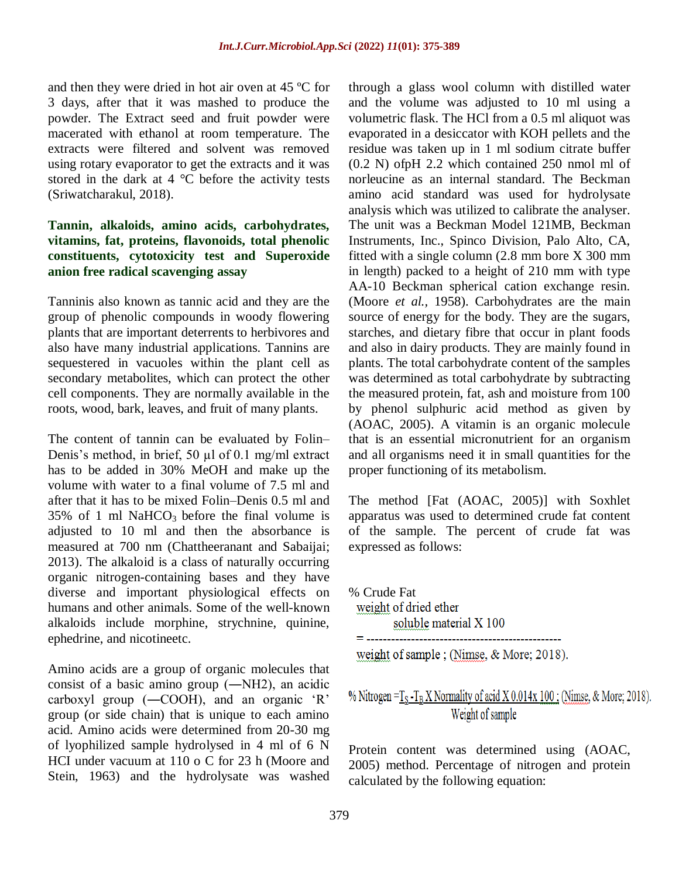and then they were dried in hot air oven at 45 ºC for 3 days, after that it was mashed to produce the powder. The Extract seed and fruit powder were macerated with ethanol at room temperature. The extracts were filtered and solvent was removed using rotary evaporator to get the extracts and it was stored in the dark at  $4 \degree C$  before the activity tests (Sriwatcharakul, 2018).

## **Tannin, alkaloids, amino acids, carbohydrates, vitamins, fat, proteins, flavonoids, total phenolic constituents, cytotoxicity test and Superoxide anion free radical scavenging assay**

Tanninis also known as tannic acid and they are the group of phenolic compounds in woody flowering plants that are important deterrents to herbivores and also have many industrial applications. Tannins are sequestered in vacuoles within the plant cell as secondary metabolites, which can protect the other cell components. They are normally available in the roots, wood, bark, leaves, and fruit of many plants.

The content of tannin can be evaluated by Folin– Denis's method, in brief, 50  $\mu$ l of 0.1 mg/ml extract has to be added in 30% MeOH and make up the volume with water to a final volume of 7.5 ml and after that it has to be mixed Folin–Denis 0.5 ml and  $35\%$  of 1 ml NaHCO<sub>3</sub> before the final volume is adjusted to 10 ml and then the absorbance is measured at 700 nm (Chattheeranant and Sabaijai; 2013). The alkaloid is a class of naturally occurring organic nitrogen-containing bases and they have diverse and important physiological effects on humans and other animals. Some of the well-known alkaloids include morphine, strychnine, quinine, ephedrine, and nicotineetc.

Amino acids are a group of organic molecules that consist of a basic amino group (―NH2), an acidic carboxyl group (―COOH), and an organic 'R' group (or side chain) that is unique to each amino acid. Amino acids were determined from 20-30 mg of lyophilized sample hydrolysed in 4 ml of 6 N HCI under vacuum at 110 o C for 23 h (Moore and Stein, 1963) and the hydrolysate was washed through a glass wool column with distilled water and the volume was adjusted to 10 ml using a volumetric flask. The HCl from a 0.5 ml aliquot was evaporated in a desiccator with KOH pellets and the residue was taken up in 1 ml sodium citrate buffer (0.2 N) ofpH 2.2 which contained 250 nmol ml of norleucine as an internal standard. The Beckman amino acid standard was used for hydrolysate analysis which was utilized to calibrate the analyser. The unit was a Beckman Model 121MB, Beckman Instruments, Inc., Spinco Division, Palo Alto, CA, fitted with a single column (2.8 mm bore X 300 mm in length) packed to a height of 210 mm with type AA-10 Beckman spherical cation exchange resin. (Moore *et al.,* 1958). Carbohydrates are the main source of energy for the body. They are the sugars, starches, and dietary fibre that occur in plant foods and also in dairy products. They are mainly found in plants. The total carbohydrate content of the samples was determined as total carbohydrate by subtracting the measured protein, fat, ash and moisture from 100 by phenol sulphuric acid method as given by (AOAC, 2005). A vitamin is an organic molecule that is an essential micronutrient for an organism and all organisms need it in small quantities for the proper functioning of its metabolism.

The method [Fat (AOAC, 2005)] with Soxhlet apparatus was used to determined crude fat content of the sample. The percent of crude fat was expressed as follows:

% Crude Fat weight of dried ether soluble material X 100 weight of sample; (Nimse, & More; 2018).

## % Nitrogen =  $T_S - T_B X$  Normality of acid  $X 0.014x 100$ ; (Nimse, & More; 2018). Weight of sample

Protein content was determined using (AOAC, 2005) method. Percentage of nitrogen and protein calculated by the following equation: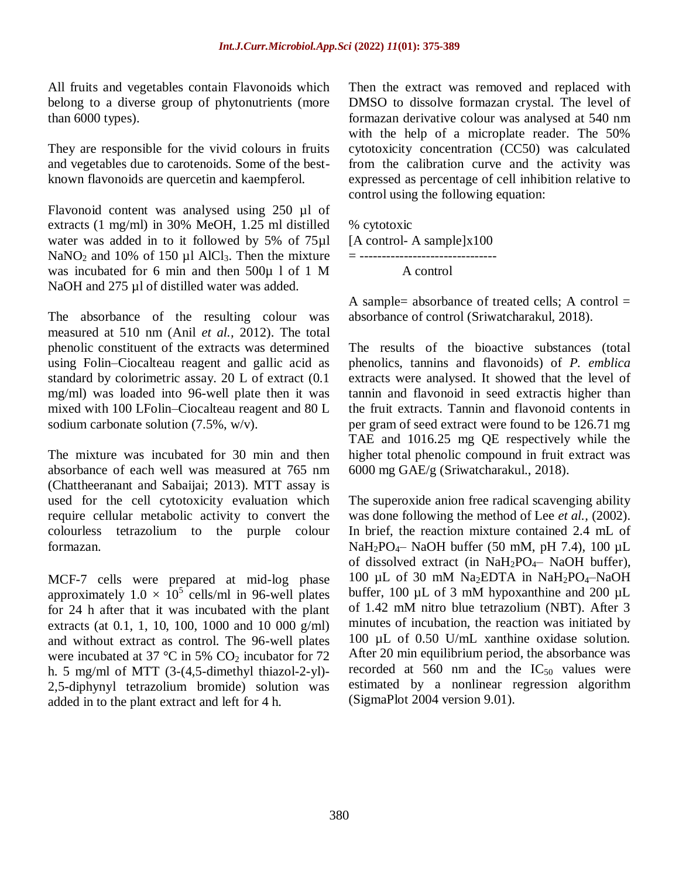All fruits and vegetables contain Flavonoids which belong to a diverse group of phytonutrients (more than 6000 types).

They are responsible for the vivid colours in fruits and vegetables due to carotenoids. Some of the bestknown flavonoids are quercetin and kaempferol.

Flavonoid content was analysed using 250 µl of extracts (1 mg/ml) in 30% MeOH, 1.25 ml distilled water was added in to it followed by 5% of 75µl NaNO<sub>2</sub> and 10% of 150  $\mu$ l AlCl<sub>3</sub>. Then the mixture was incubated for 6 min and then 500µ l of 1 M NaOH and 275 µl of distilled water was added.

The absorbance of the resulting colour was measured at 510 nm (Anil *et al.,* 2012). The total phenolic constituent of the extracts was determined using Folin–Ciocalteau reagent and gallic acid as standard by colorimetric assay. 20 L of extract (0.1 mg/ml) was loaded into 96-well plate then it was mixed with 100 LFolin–Ciocalteau reagent and 80 L sodium carbonate solution (7.5%, w/v).

The mixture was incubated for 30 min and then absorbance of each well was measured at 765 nm (Chattheeranant and Sabaijai; 2013). MTT assay is used for the cell cytotoxicity evaluation which require cellular metabolic activity to convert the colourless tetrazolium to the purple colour formazan.

MCF-7 cells were prepared at mid-log phase approximately  $1.0 \times 10^5$  cells/ml in 96-well plates for 24 h after that it was incubated with the plant extracts (at 0.1, 1, 10, 100, 1000 and 10 000 g/ml) and without extract as control. The 96-well plates were incubated at 37  $\degree$ C in 5% CO<sub>2</sub> incubator for 72 h. 5 mg/ml of MTT (3-(4,5-dimethyl thiazol-2-yl)- 2,5-diphynyl tetrazolium bromide) solution was added in to the plant extract and left for 4 h.

Then the extract was removed and replaced with DMSO to dissolve formazan crystal. The level of formazan derivative colour was analysed at 540 nm with the help of a microplate reader. The 50% cytotoxicity concentration (CC50) was calculated from the calibration curve and the activity was expressed as percentage of cell inhibition relative to control using the following equation:

% cytotoxic [A control- A sample]x100 = ------------------------------- A control

A sample= absorbance of treated cells; A control  $=$ absorbance of control (Sriwatcharakul, 2018).

The results of the bioactive substances (total phenolics, tannins and flavonoids) of *P. emblica* extracts were analysed. It showed that the level of tannin and flavonoid in seed extractis higher than the fruit extracts. Tannin and flavonoid contents in per gram of seed extract were found to be 126.71 mg TAE and 1016.25 mg QE respectively while the higher total phenolic compound in fruit extract was 6000 mg GAE/g (Sriwatcharakul., 2018).

The superoxide anion free radical scavenging ability was done following the method of Lee *et al.,* (2002). In brief, the reaction mixture contained 2.4 mL of  $NaH<sub>2</sub>PO<sub>4</sub>$  NaOH buffer (50 mM, pH 7.4), 100 µL of dissolved extract (in NaH2PO4– NaOH buffer), 100 µL of 30 mM Na<sub>2</sub>EDTA in NaH<sub>2</sub>PO<sub>4</sub>-NaOH buffer, 100  $\mu$ L of 3 mM hypoxanthine and 200  $\mu$ L of 1.42 mM nitro blue tetrazolium (NBT). After 3 minutes of incubation, the reaction was initiated by 100 µL of 0.50 U/mL xanthine oxidase solution. After 20 min equilibrium period, the absorbance was recorded at 560 nm and the  $IC_{50}$  values were estimated by a nonlinear regression algorithm (SigmaPlot 2004 version 9.01).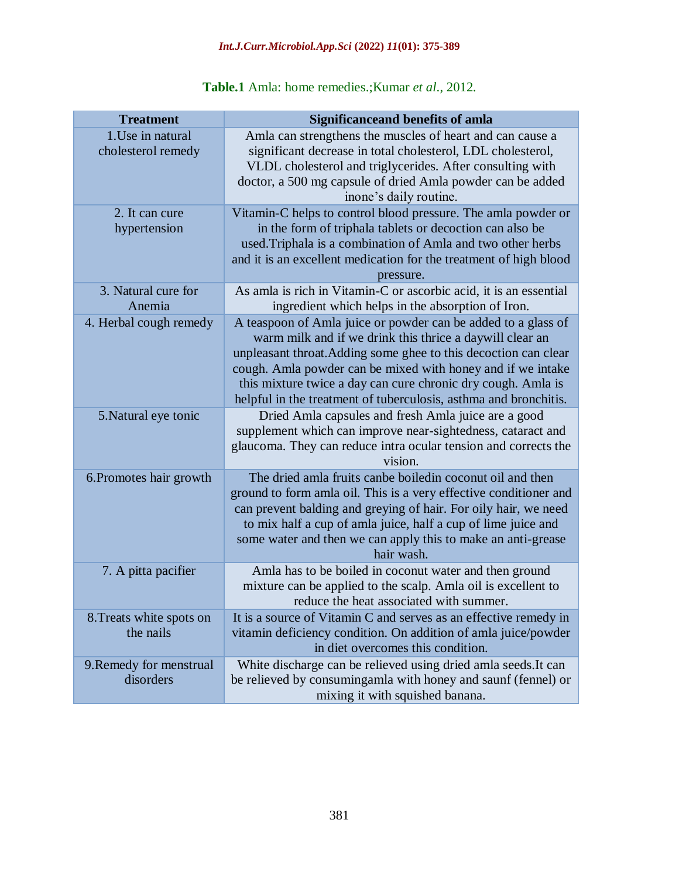| <b>Treatment</b>                        | <b>Significanceand benefits of amla</b>                                                                                                                                                                                                                                                                                                                                                         |
|-----------------------------------------|-------------------------------------------------------------------------------------------------------------------------------------------------------------------------------------------------------------------------------------------------------------------------------------------------------------------------------------------------------------------------------------------------|
| 1. Use in natural<br>cholesterol remedy | Amla can strengthens the muscles of heart and can cause a<br>significant decrease in total cholesterol, LDL cholesterol,<br>VLDL cholesterol and triglycerides. After consulting with<br>doctor, a 500 mg capsule of dried Amla powder can be added<br>inone's daily routine.                                                                                                                   |
| 2. It can cure<br>hypertension          | Vitamin-C helps to control blood pressure. The amla powder or<br>in the form of triphala tablets or decoction can also be<br>used. Triphala is a combination of Amla and two other herbs<br>and it is an excellent medication for the treatment of high blood<br>pressure.                                                                                                                      |
| 3. Natural cure for<br>Anemia           | As amla is rich in Vitamin-C or ascorbic acid, it is an essential<br>ingredient which helps in the absorption of Iron.                                                                                                                                                                                                                                                                          |
| 4. Herbal cough remedy                  | A teaspoon of Amla juice or powder can be added to a glass of<br>warm milk and if we drink this thrice a daywill clear an<br>unpleasant throat. Adding some ghee to this decoction can clear<br>cough. Amla powder can be mixed with honey and if we intake<br>this mixture twice a day can cure chronic dry cough. Amla is<br>helpful in the treatment of tuberculosis, asthma and bronchitis. |
| 5. Natural eye tonic                    | Dried Amla capsules and fresh Amla juice are a good<br>supplement which can improve near-sightedness, cataract and<br>glaucoma. They can reduce intra ocular tension and corrects the<br>vision.                                                                                                                                                                                                |
| 6. Promotes hair growth                 | The dried amla fruits canbe boiled in coconut oil and then<br>ground to form amla oil. This is a very effective conditioner and<br>can prevent balding and greying of hair. For oily hair, we need<br>to mix half a cup of amla juice, half a cup of lime juice and<br>some water and then we can apply this to make an anti-grease<br>hair wash.                                               |
| 7. A pitta pacifier                     | Amla has to be boiled in coconut water and then ground<br>mixture can be applied to the scalp. Amla oil is excellent to<br>reduce the heat associated with summer.                                                                                                                                                                                                                              |
| 8. Treats white spots on<br>the nails   | It is a source of Vitamin C and serves as an effective remedy in<br>vitamin deficiency condition. On addition of amla juice/powder<br>in diet overcomes this condition.                                                                                                                                                                                                                         |
| 9. Remedy for menstrual<br>disorders    | White discharge can be relieved using dried amla seeds. It can<br>be relieved by consumingamla with honey and saunf (fennel) or<br>mixing it with squished banana.                                                                                                                                                                                                                              |

## **Table.1** Amla: home remedies.;Kumar *et al*., 2012.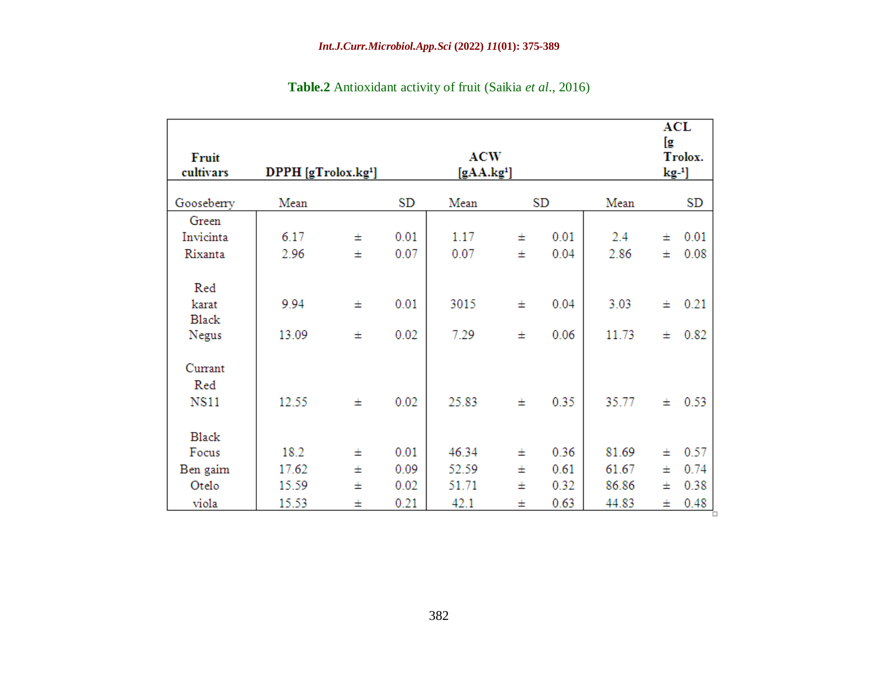| Fruit<br>cultivars             | <b>ACW</b><br>DPPH [gTrolox.kg <sup>1</sup> ]<br>[gAA.kg <sup>1</sup> ] |        |              |              |        | <b>ACL</b><br>[g<br>Trolox.<br>$\text{kg-}1$ |               |        |              |
|--------------------------------|-------------------------------------------------------------------------|--------|--------------|--------------|--------|----------------------------------------------|---------------|--------|--------------|
| Gooseberry                     | Mean                                                                    |        | SD           | Mean         |        | SD                                           | Mean          |        | SD           |
| Green                          |                                                                         |        |              |              |        |                                              |               |        |              |
| Invicinta                      | 6.17                                                                    | Ŧ      | 0.01         | 1.17         | 士      | 0.01                                         | 2.4           | Ŧ      | 0.01         |
| Rixanta                        | 2.96                                                                    | Ŧ      | 0.07         | 0.07         | 士      | 0.04                                         | 2.86          | Ŧ      | 0.08         |
| Red<br>karat<br>Black<br>Negus | 9.94<br>13.09                                                           | 王<br>Ŧ | 0.01<br>0.02 | 3015<br>7.29 | 士<br>王 | 0.04<br>0.06                                 | 3.03<br>11.73 | Ŧ<br>Ŧ | 0.21<br>0.82 |
| Currant<br>Red<br><b>NS11</b>  | 12.55                                                                   | 士      | 0.02         | 25.83        | 士      | 0.35                                         | 35.77         | Ŧ      | 0.53         |
| <b>Black</b>                   |                                                                         |        |              |              |        |                                              |               |        |              |
| Focus                          | 18.2                                                                    | Ŧ      | 0.01         | 46.34        | 士      | 0.36                                         | 81.69         | Ŧ      | 0.57         |
| Ben gaim                       | 17.62                                                                   | Ŧ      | 0.09         | 52.59        | 士      | 0.61                                         | 61.67         | Ŧ      | 0.74         |
| Otelo                          | 15.59                                                                   | Ŧ      | 0.02         | 51.71        | 士      | 0.32                                         | 86.86         | Ŧ      | 0.38         |
| viola                          | 15.53                                                                   | 士      | 0.21         | 42.1         | 士      | 0.63                                         | 44.83         | 士      | 0.48         |

**Table.2** Antioxidant activity of fruit (Saikia *et al*., 2016)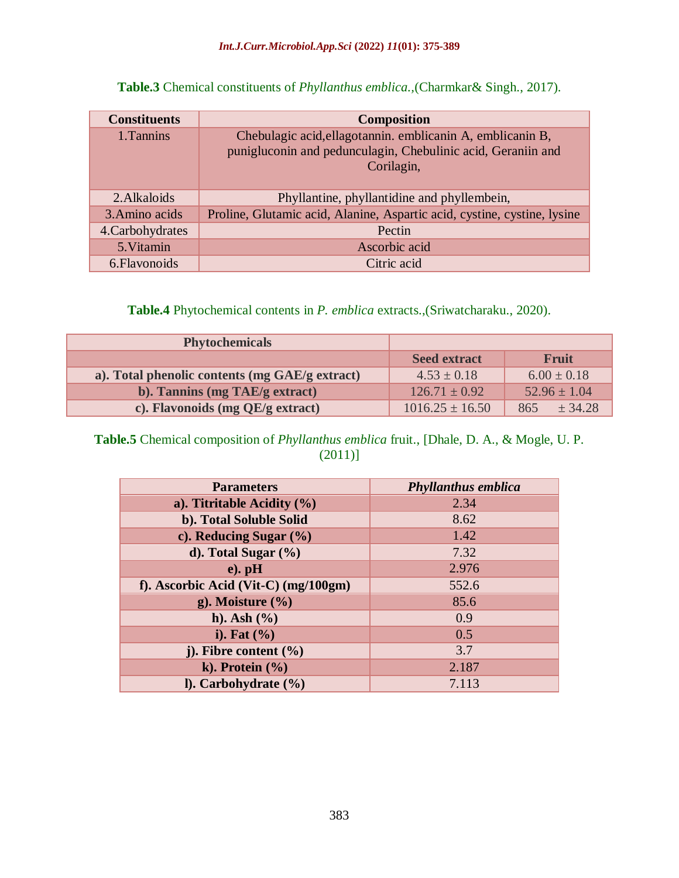| <b>Constituents</b> | <b>Composition</b>                                                                                                                       |
|---------------------|------------------------------------------------------------------------------------------------------------------------------------------|
| 1. Tannins          | Chebulagic acid, ellagotannin. emblicanin A, emblicanin B,<br>punigluconin and pedunculagin, Chebulinic acid, Geraniin and<br>Corilagin, |
| 2. Alkaloids        | Phyllantine, phyllantidine and phyllembein,                                                                                              |
| 3. Amino acids      | Proline, Glutamic acid, Alanine, Aspartic acid, cystine, cystine, lysine                                                                 |
| 4. Carbohydrates    | Pectin                                                                                                                                   |
| 5. Vitamin          | Ascorbic acid                                                                                                                            |
| 6. Flavonoids       | Citric acid                                                                                                                              |

**Table.3** Chemical constituents of *Phyllanthus emblica.,*(Charmkar& Singh., 2017).

**Table.4** Phytochemical contents in *P. emblica* extracts.,(Sriwatcharaku., 2020).

| <b>Phytochemicals</b>                          |                     |                  |  |  |  |
|------------------------------------------------|---------------------|------------------|--|--|--|
|                                                | <b>Seed extract</b> | <b>Fruit</b>     |  |  |  |
| a). Total phenolic contents (mg GAE/g extract) | $4.53 \pm 0.18$     | $6.00 \pm 0.18$  |  |  |  |
| b). Tannins (mg TAE/g extract)                 | $126.71 \pm 0.92$   | $52.96 \pm 1.04$ |  |  |  |
| c). Flavonoids (mg QE/g extract)               | $1016.25 \pm 16.50$ | ± 34.28<br>865   |  |  |  |

## **Table.5** Chemical composition of *Phyllanthus emblica* fruit., [Dhale, D. A., & Mogle, U. P. (2011)]

| <b>Parameters</b>                    | <b>Phyllanthus emblica</b> |
|--------------------------------------|----------------------------|
| a). Titritable Acidity $(\% )$       | 2.34                       |
| b). Total Soluble Solid              | 8.62                       |
| c). Reducing Sugar $(\%)$            | 1.42                       |
| d). Total Sugar $(\% )$              | 7.32                       |
| $e)$ . pH                            | 2.976                      |
| f). Ascorbic Acid (Vit-C) (mg/100gm) | 552.6                      |
| g). Moisture $(\%$                   | 85.6                       |
| h). Ash $(\% )$                      | 0.9                        |
| i). Fat $(\% )$                      | 0.5                        |
| j). Fibre content $(\% )$            | 3.7                        |
| k). Protein $(\% )$                  | 2.187                      |
| $l$ ). Carbohydrate $(\frac{6}{6})$  | 7.113                      |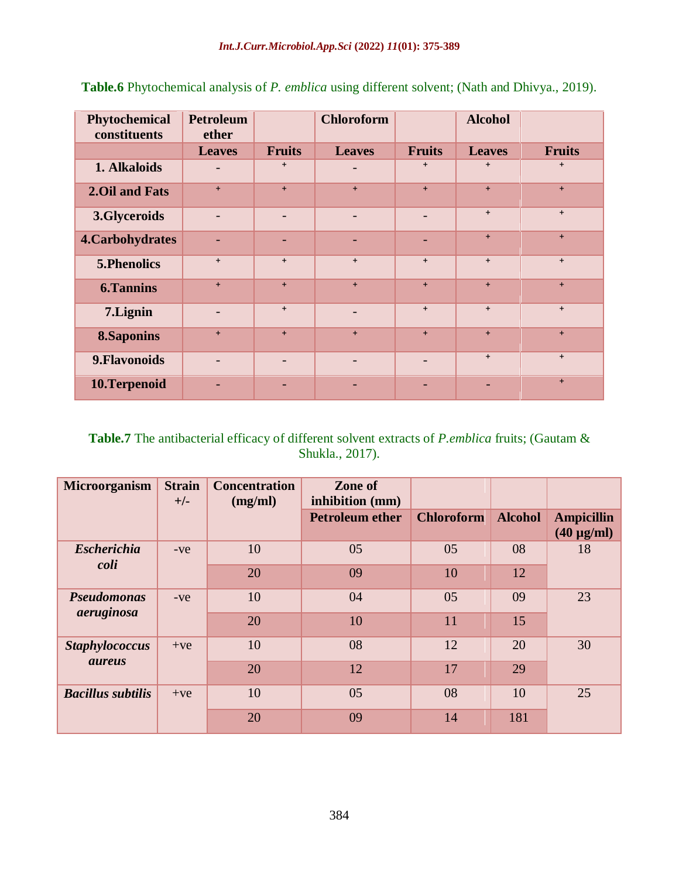| Phytochemical<br>constituents | <b>Petroleum</b><br>ether |               | <b>Chloroform</b> |               | <b>Alcohol</b>           |               |
|-------------------------------|---------------------------|---------------|-------------------|---------------|--------------------------|---------------|
|                               | <b>Leaves</b>             | <b>Fruits</b> | <b>Leaves</b>     | <b>Fruits</b> | <b>Leaves</b>            | <b>Fruits</b> |
| 1. Alkaloids                  | $\overline{\phantom{0}}$  | $+$           |                   | $+$           | $\ddot{}$                | $+$           |
| 2. Oil and Fats               | $+$                       | $+$           | $+$               | $+$           | $+$                      | $+$           |
| 3.Glyceroids                  | $\overline{\phantom{0}}$  |               |                   |               | $+$                      | $+$           |
| 4. Carbohydrates              | ÷,                        |               |                   |               | $+$                      | $+$           |
| 5. Phenolics                  | $+$                       | $+$           | $+$               | $+$           | $+$                      | $+$           |
| <b>6.Tannins</b>              | $+$                       | $+$           | $+$               | $+$           | $+$                      | $+$           |
| 7.Lignin                      | $\overline{\phantom{0}}$  | $+$           | $\overline{a}$    | $+$           | $+$                      | $+$           |
| <b>8.Saponins</b>             | $+$                       | $+$           | $+$               | $+$           | $+$                      | $+$           |
| 9. Flavonoids                 | $\overline{a}$            |               |                   |               | $+$                      | $+$           |
| 10.Terpenoid                  |                           |               |                   |               | $\overline{\phantom{0}}$ | $+$           |

**Table.6** Phytochemical analysis of *P. emblica* using different solvent; (Nath and Dhivya., 2019).

**Table.7** The antibacterial efficacy of different solvent extracts of *P.emblica* fruits; (Gautam & Shukla., 2017).

| Microorganism            | <b>Strain</b><br>$+/-$ | <b>Concentration</b><br>(mg/ml) | Zone of<br>inhibition (mm) |                   |                |                                           |
|--------------------------|------------------------|---------------------------------|----------------------------|-------------------|----------------|-------------------------------------------|
|                          |                        |                                 | <b>Petroleum ether</b>     | <b>Chloroform</b> | <b>Alcohol</b> | <b>Ampicillin</b><br>$(40 \text{ µg/ml})$ |
| <b>Escherichia</b>       | $-ve$                  | 10                              | 05                         | 05                | 08             | 18                                        |
| coli                     |                        | 20                              | 09                         | 10                | 12             |                                           |
| <b>Pseudomonas</b>       | $-ve$                  | 10                              | 04                         | 05                | 09             | 23                                        |
| aeruginosa               |                        | 20                              | 10                         | 11                | 15             |                                           |
| <b>Staphylococcus</b>    | $+ve$                  | 10                              | 08                         | 12                | 20             | 30                                        |
| <i>aureus</i>            |                        | 20                              | 12                         | 17                | 29             |                                           |
| <b>Bacillus subtilis</b> | $+ve$                  | 10                              | 05                         | 08                | 10             | 25                                        |
|                          |                        | 20                              | 09                         | 14                | 181            |                                           |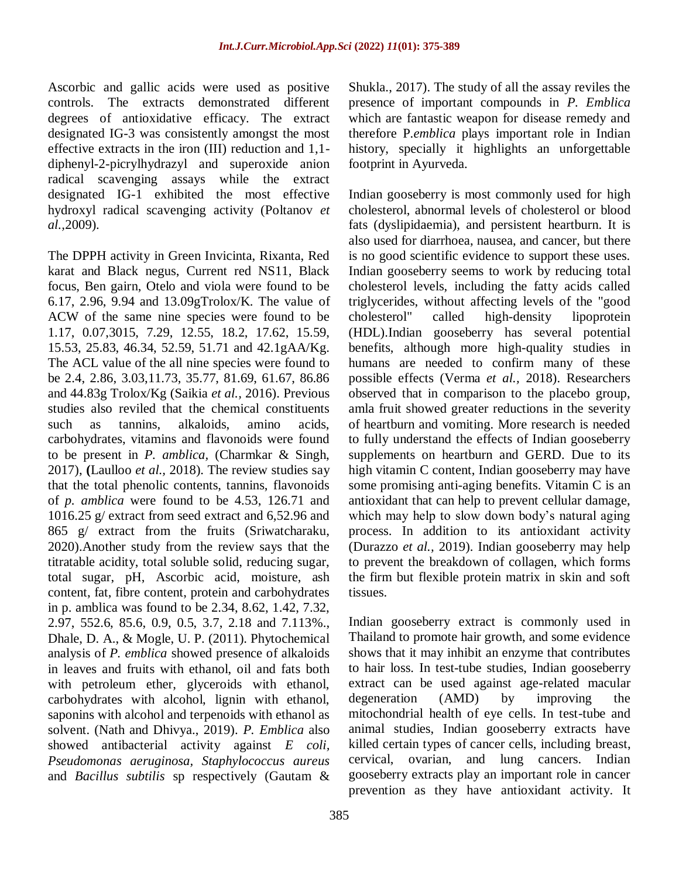Ascorbic and gallic acids were used as positive controls. The extracts demonstrated different degrees of antioxidative efficacy. The extract designated IG-3 was consistently amongst the most effective extracts in the iron (III) reduction and 1,1 diphenyl-2-picrylhydrazyl and superoxide anion radical scavenging assays while the extract designated IG-1 exhibited the most effective hydroxyl radical scavenging activity (Poltanov *et al.,*2009).

The DPPH activity in Green Invicinta, Rixanta, Red karat and Black negus, Current red NS11, Black focus, Ben gairn, Otelo and viola were found to be 6.17, 2.96, 9.94 and 13.09gTrolox/K. The value of ACW of the same nine species were found to be 1.17, 0.07,3015, 7.29, 12.55, 18.2, 17.62, 15.59, 15.53, 25.83, 46.34, 52.59, 51.71 and 42.1gAA/Kg. The ACL value of the all nine species were found to be 2.4, 2.86, 3.03,11.73, 35.77, 81.69, 61.67, 86.86 and 44.83g Trolox/Kg (Saikia *et al.,* 2016). Previous studies also reviled that the chemical constituents such as tannins, alkaloids, amino acids, carbohydrates, vitamins and flavonoids were found to be present in *P. amblica,* (Charmkar & Singh, 2017), **(**Laulloo *et al.,* 2018). The review studies say that the total phenolic contents, tannins, flavonoids of *p. amblica* were found to be 4.53, 126.71 and 1016.25 g/ extract from seed extract and 6,52.96 and 865 g/ extract from the fruits (Sriwatcharaku, 2020).Another study from the review says that the titratable acidity, total soluble solid, reducing sugar, total sugar, pH, Ascorbic acid, moisture, ash content, fat, fibre content, protein and carbohydrates in p. amblica was found to be 2.34, 8.62, 1.42, 7.32, 2.97, 552.6, 85.6, 0.9, 0.5, 3.7, 2.18 and 7.113%., Dhale, D. A., & Mogle, U. P. (2011). Phytochemical analysis of *P. emblica* showed presence of alkaloids in leaves and fruits with ethanol, oil and fats both with petroleum ether, glyceroids with ethanol, carbohydrates with alcohol, lignin with ethanol, saponins with alcohol and terpenoids with ethanol as solvent. (Nath and Dhivya., 2019). *P. Emblica* also showed antibacterial activity against *E coli, Pseudomonas aeruginosa, Staphylococcus aureus*  and *Bacillus subtilis* sp respectively (Gautam &

Shukla., 2017). The study of all the assay reviles the presence of important compounds in *P. Emblica*  which are fantastic weapon for disease remedy and therefore P.*emblica* plays important role in Indian history, specially it highlights an unforgettable footprint in Ayurveda.

Indian gooseberry is most commonly used for [high](http://www.webmd.com/cholesterol-management/default.htm)  [cholesterol,](http://www.webmd.com/cholesterol-management/default.htm) abnormal levels of cholesterol or [blood](http://www.webmd.com/heart/anatomy-picture-of-blood) fats (dyslipidaemia), and persistent [heartburn.](http://www.webmd.com/heartburn-gerd/default.htm) It is also used for [diarrhoea,](http://www.webmd.com/digestive-disorders/digestive-diseases-diarrhea) [nausea,](http://www.webmd.com/digestive-disorders/digestive-diseases-nausea-vomiting) and [cancer,](http://www.webmd.com/cancer/default.htm) but there is no good scientific evidence to support these uses. Indian gooseberry seems to work by reducing total cholesterol levels, including the fatty acids called triglycerides, without affecting levels of the "good cholesterol" called high-density lipoprotein (HDL).Indian gooseberry has several potential benefits, although more high-quality studies in humans are needed to confirm many of these possible effects (Verma *et al.,* 2018). Researchers observed that in comparison to the placebo group, amla fruit showed greater reductions in the severity of heartburn and vomiting. More research is needed to fully understand the effects of Indian gooseberry supplements on heartburn and GERD. Due to its high vitamin C content, Indian gooseberry may have some promising anti-aging benefits. [Vitamin C](https://www.healthline.com/nutrition/vitamin-c-foods) is an antioxidant that can help to prevent cellular damage, which may help to slow down body's natural aging process. In addition to its antioxidant activity (Durazzo *et al.,* 2019). Indian gooseberry may help to prevent the breakdown of collagen, which forms the firm but flexible protein matrix in skin and soft tissues.

Indian gooseberry extract is commonly used in Thailand to promote hair growth, and some evidence shows that it may inhibit an enzyme that contributes to hair loss. In test-tube studies, Indian gooseberry extract can be used against age-related macular degeneration (AMD) by improving the mitochondrial health of eye cells. In test-tube and animal studies, Indian gooseberry extracts have killed certain types of cancer cells, including breast, cervical, ovarian, and lung cancers. Indian gooseberry extracts play an important role in cancer prevention as they have [antioxidant](https://www.healthline.com/nutrition/antioxidants-explained) activity. It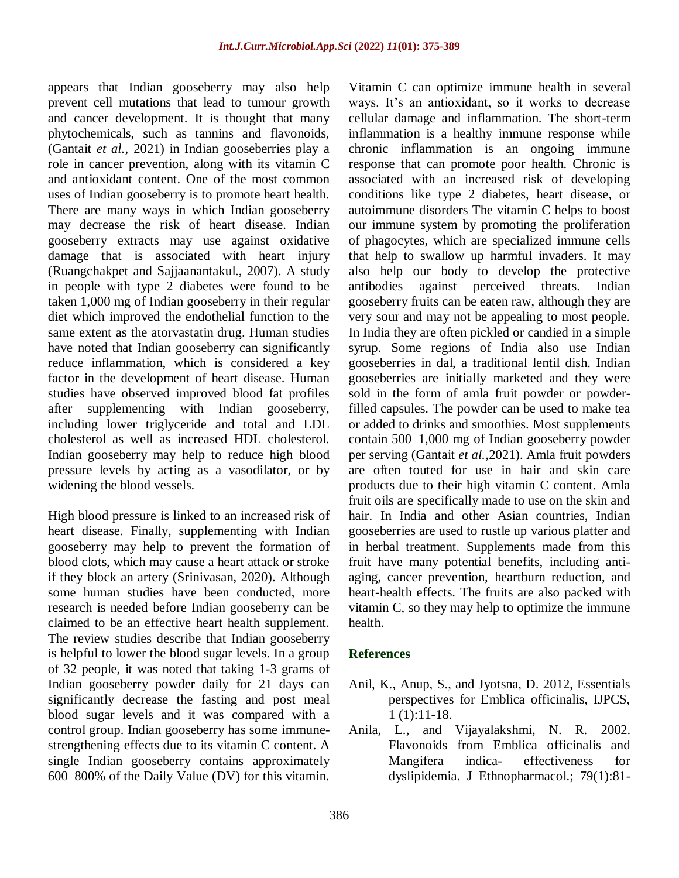appears that Indian gooseberry may also help prevent cell mutations that lead to tumour growth and cancer development. It is thought that many phytochemicals, such as tannins and flavonoids, (Gantait *et al.,* 2021) in Indian gooseberries play a role in cancer prevention, along with its vitamin C and antioxidant content. One of the most common uses of Indian gooseberry is to promote heart health. There are many ways in which Indian gooseberry may decrease the risk of heart disease. Indian gooseberry extracts may use against oxidative damage that is associated with heart injury (Ruangchakpet and Sajjaanantakul., 2007). A study in people with type 2 diabetes were found to be taken 1,000 mg of Indian gooseberry in their regular diet which improved the endothelial function to the same extent as the atorvastatin drug. Human studies have noted that Indian gooseberry can significantly reduce inflammation, which is considered a key factor in the development of heart disease. Human studies have observed improved blood fat profiles after supplementing with Indian gooseberry, including lower triglyceride and total and LDL cholesterol as well as increased HDL cholesterol. Indian gooseberry may help to reduce high blood pressure levels by acting as a vasodilator, or by widening the blood vessels.

High blood pressure is linked to an increased risk of heart disease. Finally, supplementing with Indian gooseberry may help to prevent the formation of blood clots, which may cause a heart attack or stroke if they block an artery (Srinivasan, 2020). Although some human studies have been conducted, more research is needed before Indian gooseberry can be claimed to be an effective heart health supplement. The review studies describe that Indian gooseberry is helpful to lower the blood sugar levels. In a group of 32 people, it was noted that taking 1-3 grams of Indian gooseberry powder daily for 21 days can significantly decrease the fasting and post meal blood sugar levels and it was compared with a control group. Indian gooseberry has some [immune](https://www.healthline.com/nutrition/immune-boosting-supplements)[strengthening effects](https://www.healthline.com/nutrition/immune-boosting-supplements) due to its vitamin C content. A single Indian gooseberry contains approximately 600–800% of the Daily Value (DV) for this vitamin.

Vitamin C can optimize immune health in several ways. It's an antioxidant, so it works to decrease cellular damage and inflammation. The short-term inflammation is a healthy immune response while chronic inflammation is an ongoing immune response that can promote poor health. Chronic is associated with an increased risk of developing conditions like type 2 diabetes, heart disease, or autoimmune disorders The vitamin C helps to boost our immune system by promoting the proliferation of phagocytes, which are specialized immune cells that help to swallow up harmful invaders. It may also help our body to develop the protective antibodies against perceived threats. Indian gooseberry fruits can be eaten raw, although they are very sour and may not be appealing to most people. In India they are often pickled or candied in a simple syrup. Some regions of India also use Indian gooseberries in dal, a traditional lentil dish. Indian gooseberries are initially marketed and they were sold in the form of [amla fruit powder](https://www.healthline.com/health/beauty-skin-care/amla-powder-for-hair) or powderfilled capsules. The powder can be used to make tea or added to drinks and smoothies. Most supplements contain 500–1,000 mg of Indian gooseberry powder per serving (Gantait *et al.,*2021). Amla fruit powders are often touted for use in hair and skin care products due to their high vitamin C content. Amla fruit oils are specifically made to use on the skin and hair. In India and other Asian countries, Indian gooseberries are used to rustle up various platter and in herbal treatment. Supplements made from this fruit have many potential benefits, including antiaging, cancer prevention, [heartburn reduction,](https://www.healthline.com/nutrition/heartburn-acid-reflux-remedies) and heart-health effects. The fruits are also packed with vitamin C, so they may help to optimize the immune health.

#### **References**

- Anil, K., Anup, S., and Jyotsna, D. 2012, Essentials perspectives for Emblica officinalis, IJPCS, 1 (1):11-18.
- Anila, L., and Vijayalakshmi, N. R. 2002. Flavonoids from Emblica officinalis and Mangifera indica- effectiveness for dyslipidemia. J Ethnopharmacol.; 79(1):81-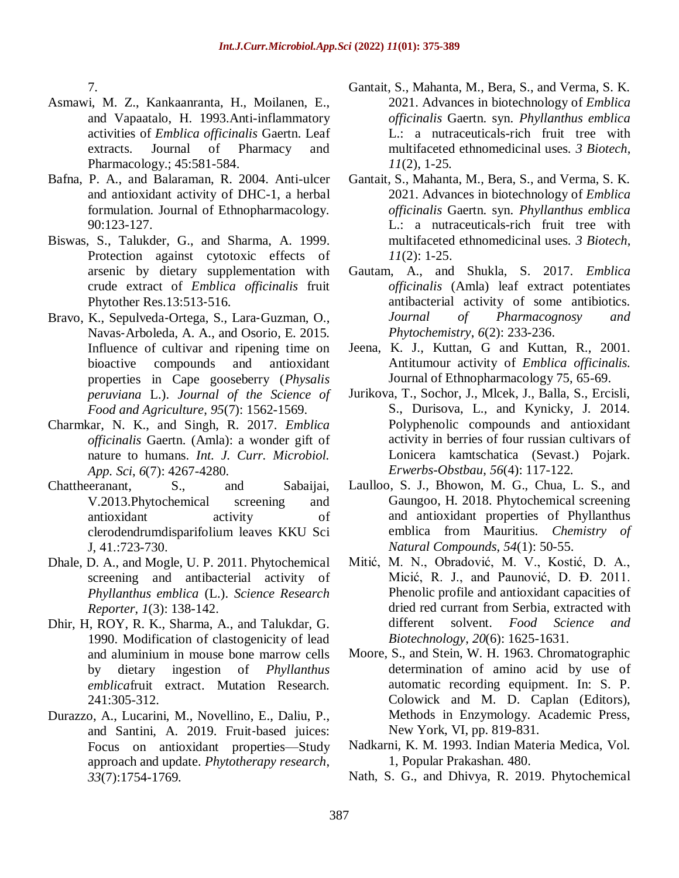7.

- Asmawi, M. Z., Kankaanranta, H., Moilanen, E., and Vapaatalo, H. 1993.Anti-inflammatory activities of *Emblica officinalis* Gaertn. Leaf extracts. Journal of Pharmacy and Pharmacology.; 45:581-584.
- Bafna, P. A., and Balaraman, R. 2004. Anti-ulcer and antioxidant activity of DHC-1, a herbal formulation. Journal of Ethnopharmacology. 90:123-127.
- Biswas, S., Talukder, G., and Sharma, A. 1999. Protection against cytotoxic effects of arsenic by dietary supplementation with crude extract of *Emblica officinalis* fruit Phytother Res.13:513‐516.
- Bravo, K., Sepulveda‐Ortega, S., Lara‐Guzman, O., Navas‐Arboleda, A. A., and Osorio, E. 2015. Influence of cultivar and ripening time on bioactive compounds and antioxidant properties in Cape gooseberry (*Physalis peruviana* L.). *Journal of the Science of Food and Agriculture*, *95*(7): 1562-1569.
- Charmkar, N. K., and Singh, R. 2017. *Emblica officinalis* Gaertn. (Amla): a wonder gift of nature to humans. *Int. J. Curr. Microbiol. App. Sci*, *6*(7): 4267-4280.
- Chattheeranant, S., and Sabaijai, V.2013.Phytochemical screening and antioxidant activity of clerodendrumdisparifolium leaves KKU Sci J, 41.:723-730.
- Dhale, D. A., and Mogle, U. P. 2011. Phytochemical screening and antibacterial activity of *Phyllanthus emblica* (L.). *Science Research Reporter*, *1*(3): 138-142.
- Dhir, H, ROY, R. K., Sharma, A., and Talukdar, G. 1990. Modification of clastogenicity of lead and aluminium in mouse bone marrow cells by dietary ingestion of *Phyllanthus emblica*fruit extract. Mutation Research. 241:305-312.
- Durazzo, A., Lucarini, M., Novellino, E., Daliu, P., and Santini, A. 2019. Fruit‐based juices: Focus on antioxidant properties—Study approach and update. *Phytotherapy research*, *33*(7):1754-1769.
- Gantait, S., Mahanta, M., Bera, S., and Verma, S. K. 2021. Advances in biotechnology of *Emblica officinalis* Gaertn. syn. *Phyllanthus emblica* L.: a nutraceuticals-rich fruit tree with multifaceted ethnomedicinal uses. *3 Biotech*, *11*(2), 1-25.
- Gantait, S., Mahanta, M., Bera, S., and Verma, S. K. 2021. Advances in biotechnology of *Emblica officinalis* Gaertn. syn. *Phyllanthus emblica* L.: a nutraceuticals-rich fruit tree with multifaceted ethnomedicinal uses. *3 Biotech*, *11*(2): 1-25.
- Gautam, A., and Shukla, S. 2017. *Emblica officinalis* (Amla) leaf extract potentiates antibacterial activity of some antibiotics. *Journal of Pharmacognosy and Phytochemistry*, *6*(2): 233-236.
- Jeena, K. J., Kuttan, G and Kuttan, R., 2001. Antitumour activity of *Emblica officinalis.*  Journal of Ethnopharmacology 75, 65-69.
- Jurikova, T., Sochor, J., Mlcek, J., Balla, S., Ercisli, S., Durisova, L., and Kynicky, J. 2014. Polyphenolic compounds and antioxidant activity in berries of four russian cultivars of Lonicera kamtschatica (Sevast.) Pojark. *Erwerbs-Obstbau*, *56*(4): 117-122.
- Laulloo, S. J., Bhowon, M. G., Chua, L. S., and Gaungoo, H. 2018. Phytochemical screening and antioxidant properties of Phyllanthus emblica from Mauritius. *Chemistry of Natural Compounds*, *54*(1): 50-55.
- Mitić, M. N., Obradović, M. V., Kostić, D. A., Micić, R. J., and Paunović, D. Đ. 2011. Phenolic profile and antioxidant capacities of dried red currant from Serbia, extracted with different solvent. *Food Science and Biotechnology*, *20*(6): 1625-1631.
- Moore, S., and Stein, W. H. 1963. Chromatographic determination of amino acid by use of automatic recording equipment. In: S. P. Colowick and M. D. Caplan (Editors), Methods in Enzymology. Academic Press, New York, VI, pp. 819-831.
- Nadkarni, K. M. 1993. Indian Materia Medica, Vol. 1, Popular Prakashan. 480.
- Nath, S. G., and Dhivya, R. 2019. Phytochemical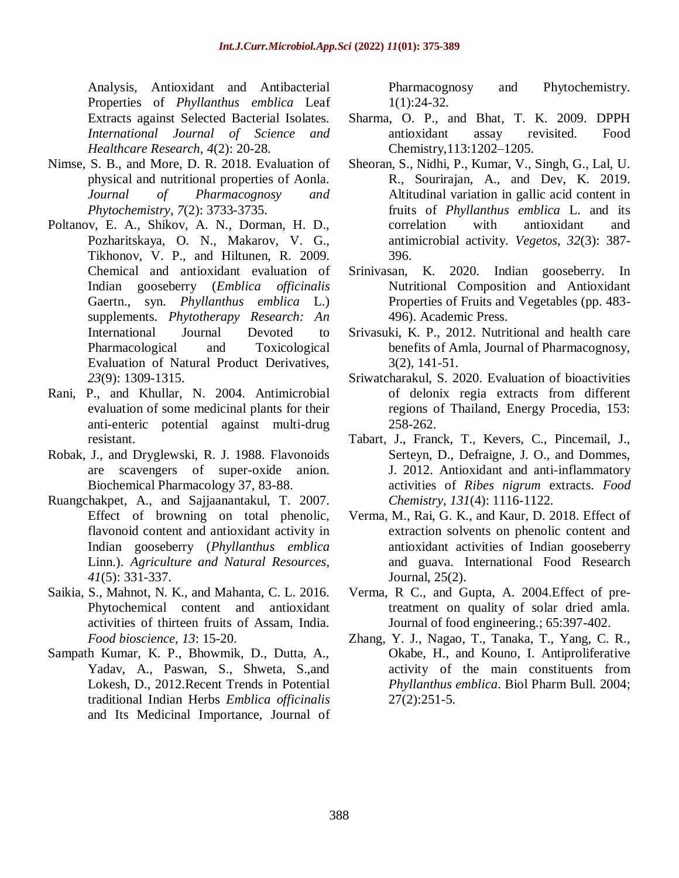Analysis, Antioxidant and Antibacterial Properties of *Phyllanthus emblica* Leaf Extracts against Selected Bacterial Isolates. *International Journal of Science and Healthcare Research*, *4*(2): 20-28.

- Nimse, S. B., and More, D. R. 2018. Evaluation of physical and nutritional properties of Aonla. *Journal of Pharmacognosy and Phytochemistry*, *7*(2): 3733-3735.
- Poltanov, E. A., Shikov, A. N., Dorman, H. D., Pozharitskaya, O. N., Makarov, V. G., Tikhonov, V. P., and Hiltunen, R. 2009. Chemical and antioxidant evaluation of Indian gooseberry (*Emblica officinalis* Gaertn., syn. *Phyllanthus emblica* L.) supplements. *Phytotherapy Research: An*  International Journal Devoted to Pharmacological and Toxicological Evaluation of Natural Product Derivatives, *23*(9): 1309-1315.
- Rani, P., and Khullar, N. 2004. Antimicrobial evaluation of some medicinal plants for their anti-enteric potential against multi-drug resistant.
- Robak, J., and Dryglewski, R. J. 1988. Flavonoids are scavengers of super-oxide anion. Biochemical Pharmacology 37, 83-88.
- Ruangchakpet, A., and Sajjaanantakul, T. 2007. Effect of browning on total phenolic, flavonoid content and antioxidant activity in Indian gooseberry (*Phyllanthus emblica* Linn.). *Agriculture and Natural Resources*, *41*(5): 331-337.
- Saikia, S., Mahnot, N. K., and Mahanta, C. L. 2016. Phytochemical content and antioxidant activities of thirteen fruits of Assam, India. *Food bioscience*, *13*: 15-20.
- Sampath Kumar, K. P., Bhowmik, D., Dutta, A., Yadav, A., Paswan, S., Shweta, S.,and Lokesh, D., 2012.Recent Trends in Potential traditional Indian Herbs *Emblica officinalis*  and Its Medicinal Importance, Journal of

Pharmacognosy and Phytochemistry. 1(1):24-32.

- Sharma, O. P., and Bhat, T. K. 2009. DPPH antioxidant assay revisited. Food Chemistry,113:1202–1205.
- Sheoran, S., Nidhi, P., Kumar, V., Singh, G., Lal, U. R., Sourirajan, A., and Dev, K. 2019. Altitudinal variation in gallic acid content in fruits of *Phyllanthus emblica* L. and its correlation with antioxidant and antimicrobial activity. *Vegetos*, *32*(3): 387- 396.
- Srinivasan, K. 2020. Indian gooseberry. In Nutritional Composition and Antioxidant Properties of Fruits and Vegetables (pp. 483- 496). Academic Press.
- Srivasuki, K. P., 2012. Nutritional and health care benefits of Amla, Journal of Pharmacognosy, 3(2), 141-51.
- Sriwatcharakul, S. 2020. Evaluation of bioactivities of delonix regia extracts from different regions of Thailand, Energy Procedia, 153: 258-262.
- Tabart, J., Franck, T., Kevers, C., Pincemail, J., Serteyn, D., Defraigne, J. O., and Dommes, J. 2012. Antioxidant and anti-inflammatory activities of *Ribes nigrum* extracts. *Food Chemistry*, *131*(4): 1116-1122.
- Verma, M., Rai, G. K., and Kaur, D. 2018. Effect of extraction solvents on phenolic content and antioxidant activities of Indian gooseberry and guava. International Food Research Journal, 25(2).
- Verma, R C., and Gupta, A. 2004.Effect of pretreatment on quality of solar dried amla. Journal of food engineering.; 65:397-402.
- Zhang, Y. J., Nagao, T., Tanaka, T., Yang, C. R., Okabe, H., and Kouno, I. Antiproliferative activity of the main constituents from *Phyllanthus emblica*. Biol Pharm Bull. 2004; 27(2):251-5.